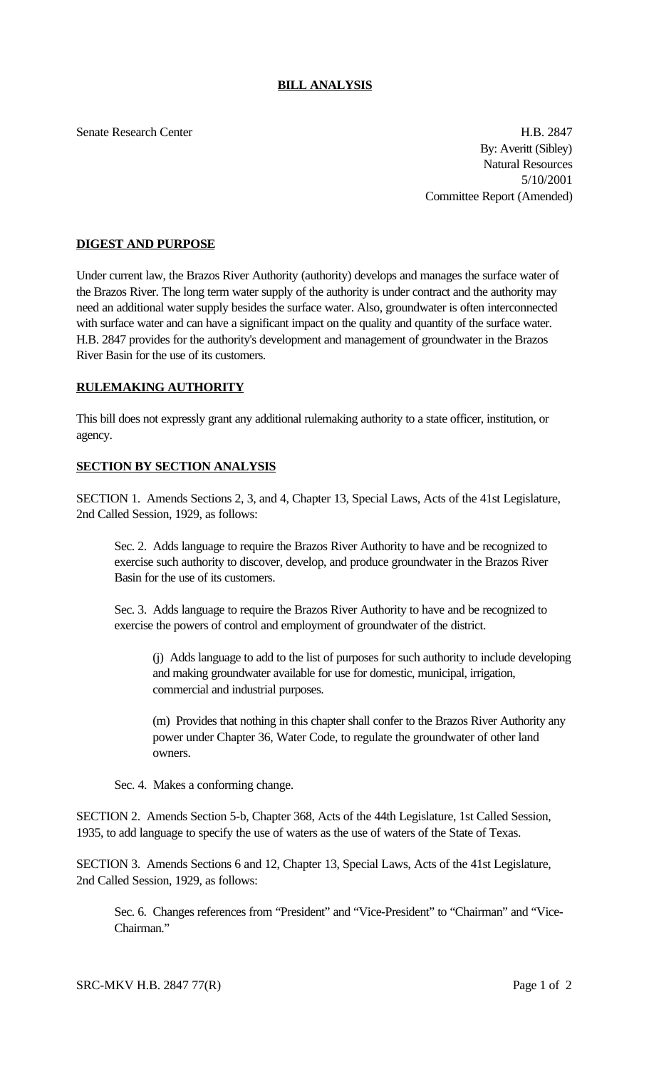## **BILL ANALYSIS**

Senate Research Center **H.B. 2847** By: Averitt (Sibley) Natural Resources 5/10/2001 Committee Report (Amended)

## **DIGEST AND PURPOSE**

Under current law, the Brazos River Authority (authority) develops and manages the surface water of the Brazos River. The long term water supply of the authority is under contract and the authority may need an additional water supply besides the surface water. Also, groundwater is often interconnected with surface water and can have a significant impact on the quality and quantity of the surface water. H.B. 2847 provides for the authority's development and management of groundwater in the Brazos River Basin for the use of its customers.

#### **RULEMAKING AUTHORITY**

This bill does not expressly grant any additional rulemaking authority to a state officer, institution, or agency.

### **SECTION BY SECTION ANALYSIS**

SECTION 1. Amends Sections 2, 3, and 4, Chapter 13, Special Laws, Acts of the 41st Legislature, 2nd Called Session, 1929, as follows:

Sec. 2. Adds language to require the Brazos River Authority to have and be recognized to exercise such authority to discover, develop, and produce groundwater in the Brazos River Basin for the use of its customers.

Sec. 3. Adds language to require the Brazos River Authority to have and be recognized to exercise the powers of control and employment of groundwater of the district.

(j) Adds language to add to the list of purposes for such authority to include developing and making groundwater available for use for domestic, municipal, irrigation, commercial and industrial purposes.

(m) Provides that nothing in this chapter shall confer to the Brazos River Authority any power under Chapter 36, Water Code, to regulate the groundwater of other land owners.

Sec. 4. Makes a conforming change.

SECTION 2. Amends Section 5-b, Chapter 368, Acts of the 44th Legislature, 1st Called Session, 1935, to add language to specify the use of waters as the use of waters of the State of Texas.

SECTION 3. Amends Sections 6 and 12, Chapter 13, Special Laws, Acts of the 41st Legislature, 2nd Called Session, 1929, as follows:

Sec. 6. Changes references from "President" and "Vice-President" to "Chairman" and "Vice-Chairman."